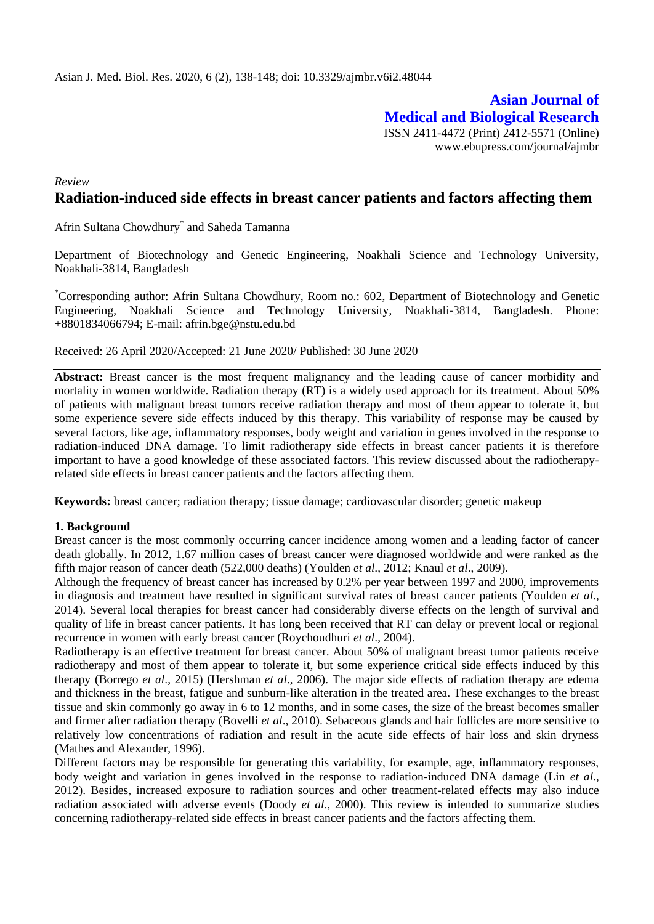**Asian Journal of Medical and Biological Research** ISSN 2411-4472 (Print) 2412-5571 (Online) www.ebupress.com/journal/ajmbr

# *Review* **Radiation-induced side effects in breast cancer patients and factors affecting them**

Afrin Sultana Chowdhury\* and Saheda Tamanna

Department of Biotechnology and Genetic Engineering, Noakhali Science and Technology University, Noakhali-3814, Bangladesh

\*Corresponding author: Afrin Sultana Chowdhury, Room no.: 602, Department of Biotechnology and Genetic Engineering, Noakhali Science and Technology University, Noakhali-3814, Bangladesh. Phone: +8801834066794; E-mail: [afrin.bge@nstu.edu.bd](mailto:afrin.bge@nstu.edu.bd)

Received: 26 April 2020/Accepted: 21 June 2020/ Published: 30 June 2020

Abstract: Breast cancer is the most frequent malignancy and the leading cause of cancer morbidity and mortality in women worldwide. Radiation therapy (RT) is a widely used approach for its treatment. About 50% of patients with malignant breast tumors receive radiation therapy and most of them appear to tolerate it, but some experience severe side effects induced by this therapy. This variability of response may be caused by several factors, like age, inflammatory responses, body weight and variation in genes involved in the response to radiation-induced DNA damage. To limit radiotherapy side effects in breast cancer patients it is therefore important to have a good knowledge of these associated factors. This review discussed about the radiotherapyrelated side effects in breast cancer patients and the factors affecting them.

**Keywords:** breast cancer; radiation therapy; tissue damage; cardiovascular disorder; genetic makeup

#### **1. Background**

Breast cancer is the most commonly occurring cancer incidence among women and a leading factor of cancer death globally. In 2012, 1.67 million cases of breast cancer were diagnosed worldwide and were ranked as the fifth major reason of cancer death (522,000 deaths) (Youlden *et al*., 2012; Knaul *et al*., 2009).

Although the frequency of breast cancer has increased by 0.2% per year between 1997 and 2000, improvements in diagnosis and treatment have resulted in significant survival rates of breast cancer patients (Youlden *et al*., 2014). Several local therapies for breast cancer had considerably diverse effects on the length of survival and quality of life in breast cancer patients. It has long been received that RT can delay or prevent local or regional recurrence in women with early breast cancer (Roychoudhuri *et al*., 2004).

Radiotherapy is an effective treatment for breast cancer. About 50% of malignant breast tumor patients receive radiotherapy and most of them appear to tolerate it, but some experience critical side effects induced by this therapy (Borrego *et al*., 2015) (Hershman *et al*., 2006). The major side effects of radiation therapy are edema and thickness in the breast, fatigue and sunburn-like alteration in the treated area. These exchanges to the breast tissue and skin commonly go away in 6 to 12 months, and in some cases, the size of the breast becomes smaller and firmer after radiation therapy (Bovelli *et al*., 2010). Sebaceous glands and hair follicles are more sensitive to relatively low concentrations of radiation and result in the acute side effects of hair loss and skin dryness (Mathes and Alexander, 1996).

Different factors may be responsible for generating this variability, for example, age, inflammatory responses, body weight and variation in genes involved in the response to radiation-induced DNA damage (Lin *et al*., 2012). Besides, increased exposure to radiation sources and other treatment-related effects may also induce radiation associated with adverse events (Doody *et al*., 2000). This review is intended to summarize studies concerning radiotherapy-related side effects in breast cancer patients and the factors affecting them.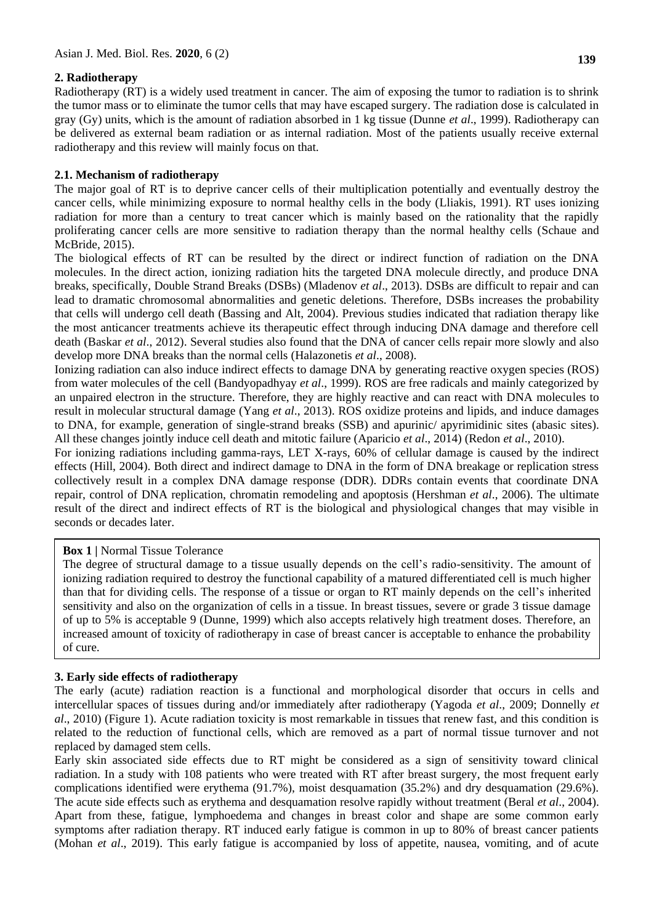# **2. Radiotherapy**

Radiotherapy (RT) is a widely used treatment in cancer. The aim of exposing the tumor to radiation is to shrink the tumor mass or to eliminate the tumor cells that may have escaped surgery. The radiation dose is calculated in gray (Gy) units, which is the amount of radiation absorbed in 1 kg tissue (Dunne *et al*., 1999). Radiotherapy can be delivered as external beam radiation or as internal radiation. Most of the patients usually receive external radiotherapy and this review will mainly focus on that.

### **2.1. Mechanism of radiotherapy**

The major goal of RT is to deprive cancer cells of their multiplication potentially and eventually destroy the cancer cells, while minimizing exposure to normal healthy cells in the body (Lliakis, 1991). RT uses ionizing radiation for more than a century to treat cancer which is mainly based on the rationality that the rapidly proliferating cancer cells are more sensitive to radiation therapy than the normal healthy cells (Schaue and McBride, 2015).

The biological effects of RT can be resulted by the direct or indirect function of radiation on the DNA molecules. In the direct action, ionizing radiation hits the targeted DNA molecule directly, and produce DNA breaks, specifically, Double Strand Breaks (DSBs) (Mladenov *et al*., 2013). DSBs are difficult to repair and can lead to dramatic chromosomal abnormalities and genetic deletions. Therefore, DSBs increases the probability that cells will undergo cell death (Bassing and Alt, 2004). Previous studies indicated that radiation therapy like the most anticancer treatments achieve its therapeutic effect through inducing DNA damage and therefore cell death (Baskar *et al*., 2012). Several studies also found that the DNA of cancer cells repair more slowly and also develop more DNA breaks than the normal cells (Halazonetis *et al*., 2008).

Ionizing radiation can also induce indirect effects to damage DNA by generating reactive oxygen species (ROS) from water molecules of the cell (Bandyopadhyay *et al*., 1999). ROS are free radicals and mainly categorized by an unpaired electron in the structure. Therefore, they are highly reactive and can react with DNA molecules to result in molecular structural damage (Yang *et al*., 2013). ROS oxidize proteins and lipids, and induce damages to DNA, for example, generation of single-strand breaks (SSB) and apurinic/ apyrimidinic sites (abasic sites). All these changes jointly induce cell death and mitotic failure (Aparicio *et al*., 2014) (Redon *et al*., 2010).

For ionizing radiations including gamma-rays, LET X-rays, 60% of cellular damage is caused by the indirect effects (Hill, 2004). Both direct and indirect damage to DNA in the form of DNA breakage or replication stress collectively result in a complex DNA damage response (DDR). DDRs contain events that coordinate DNA repair, control of DNA replication, chromatin remodeling and apoptosis (Hershman *et al*., 2006). The ultimate result of the direct and indirect effects of RT is the biological and physiological changes that may visible in seconds or decades later.

# **Box 1** | Normal Tissue Tolerance

The degree of structural damage to a tissue usually depends on the cell's radio-sensitivity. The amount of ionizing radiation required to destroy the functional capability of a matured differentiated cell is much higher than that for dividing cells. The response of a tissue or organ to RT mainly depends on the cell's inherited sensitivity and also on the organization of cells in a tissue. In breast tissues, severe or grade 3 tissue damage of up to 5% is acceptable 9 (Dunne, 1999) which also accepts relatively high treatment doses. Therefore, an increased amount of toxicity of radiotherapy in case of breast cancer is acceptable to enhance the probability of cure.

# **3. Early side effects of radiotherapy**

The early (acute) radiation reaction is a functional and morphological disorder that occurs in cells and intercellular spaces of tissues during and/or immediately after radiotherapy (Yagoda *et al*., 2009; Donnelly *et al*., 2010) (Figure 1). Acute radiation toxicity is most remarkable in tissues that renew fast, and this condition is related to the reduction of functional cells, which are removed as a part of normal tissue turnover and not replaced by damaged stem cells.

Early skin associated side effects due to RT might be considered as a sign of sensitivity toward clinical radiation. In a study with 108 patients who were treated with RT after breast surgery, the most frequent early complications identified were erythema (91.7%), moist desquamation (35.2%) and dry desquamation (29.6%). The acute side effects such as erythema and desquamation resolve rapidly without treatment (Beral *et al*., 2004). Apart from these, fatigue, lymphoedema and changes in breast color and shape are some common early symptoms after radiation therapy. RT induced early fatigue is common in up to 80% of breast cancer patients (Mohan *et al*., 2019). This early fatigue is accompanied by loss of appetite, nausea, vomiting, and of acute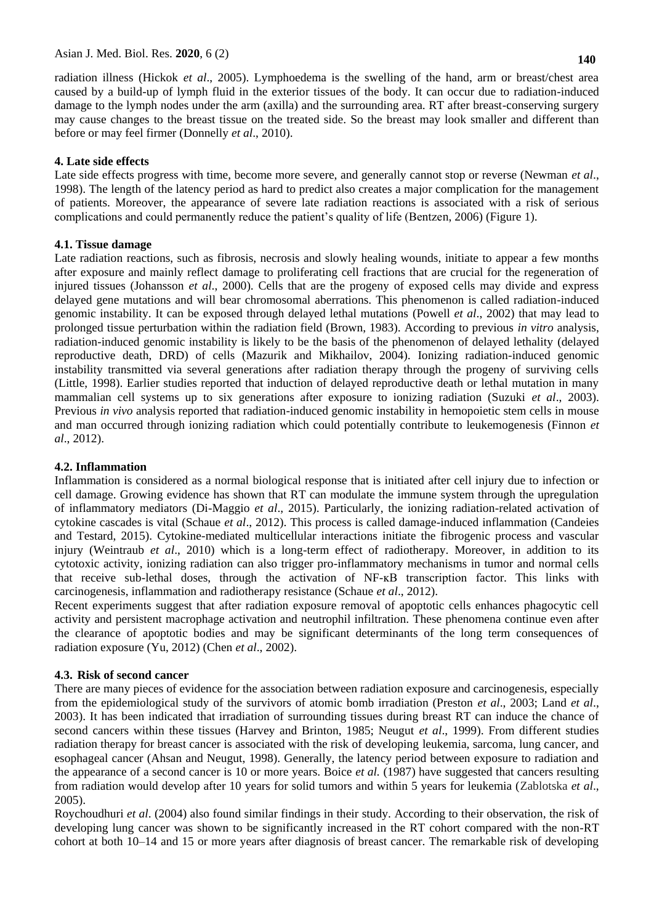before or may feel firmer (Donnelly *et al*., 2010).

radiation illness (Hickok *et al*., 2005). Lymphoedema is the swelling of the hand, arm or breast/chest area caused by a build-up of lymph fluid in the exterior tissues of the body. It can occur due to radiation-induced damage to the lymph nodes under the arm (axilla) and the surrounding area. RT after breast-conserving surgery may cause changes to the breast tissue on the treated side. So the breast may look smaller and different than

### **4. Late side effects**

Late side effects progress with time, become more severe, and generally cannot stop or reverse (Newman *et al*., 1998). The length of the latency period as hard to predict also creates a major complication for the management of patients. Moreover, the appearance of severe late radiation reactions is associated with a risk of serious complications and could permanently reduce the patient's quality of life (Bentzen, 2006) (Figure 1).

### **4.1. Tissue damage**

Late radiation reactions, such as fibrosis, necrosis and slowly healing wounds, initiate to appear a few months after exposure and mainly reflect damage to proliferating cell fractions that are crucial for the regeneration of injured tissues (Johansson *et al*., 2000). Cells that are the progeny of exposed cells may divide and express delayed gene mutations and will bear chromosomal aberrations. This phenomenon is called radiation-induced genomic instability. It can be exposed through delayed lethal mutations (Powell *et al*., 2002) that may lead to prolonged tissue perturbation within the radiation field (Brown, 1983). According to previous *in vitro* analysis, radiation-induced genomic instability is likely to be the basis of the phenomenon of delayed lethality (delayed reproductive death, DRD) of cells (Mazurik and Mikhailov, 2004). Ionizing radiation-induced genomic instability transmitted via several generations after radiation therapy through the progeny of surviving cells (Little, 1998). Earlier studies reported that induction of delayed reproductive death or lethal mutation in many mammalian cell systems up to six generations after exposure to ionizing radiation (Suzuki *et al*., 2003). Previous *in vivo* analysis reported that radiation-induced genomic instability in hemopoietic stem cells in mouse and man occurred through ionizing radiation which could potentially contribute to leukemogenesis (Finnon *et al*., 2012).

### **4.2. Inflammation**

Inflammation is considered as a normal biological response that is initiated after cell injury due to infection or cell damage. Growing evidence has shown that RT can modulate the immune system through the upregulation of inflammatory mediators (Di-Maggio *et al*., 2015). Particularly, the ionizing radiation-related activation of cytokine cascades is vital (Schaue *et al*., 2012). This process is called damage-induced inflammation (Candeies and Testard, 2015). Cytokine-mediated multicellular interactions initiate the fibrogenic process and vascular injury (Weintraub *et al*., 2010) which is a long-term effect of radiotherapy. Moreover, in addition to its cytotoxic activity, ionizing radiation can also trigger pro-inflammatory mechanisms in tumor and normal cells that receive sub-lethal doses, through the activation of NF-ĸB transcription factor. This links with carcinogenesis, inflammation and radiotherapy resistance (Schaue *et al*., 2012).

Recent experiments suggest that after radiation exposure removal of apoptotic cells enhances phagocytic cell activity and persistent macrophage activation and neutrophil infiltration. These phenomena continue even after the clearance of apoptotic bodies and may be significant determinants of the long term consequences of radiation exposure (Yu, 2012) (Chen *et al*., 2002).

#### **4.3. Risk of second cancer**

There are many pieces of evidence for the association between radiation exposure and carcinogenesis, especially from the epidemiological study of the survivors of atomic bomb irradiation (Preston *et al*., 2003; Land *et al*., 2003). It has been indicated that irradiation of surrounding tissues during breast RT can induce the chance of second cancers within these tissues (Harvey and Brinton, 1985; Neugut *et al*., 1999). From different studies radiation therapy for breast cancer is associated with the risk of developing leukemia, sarcoma, lung cancer, and esophageal cancer (Ahsan and Neugut, 1998). Generally, the latency period between exposure to radiation and the appearance of a second cancer is 10 or more years. Boice *et al.* (1987) have suggested that cancers resulting from radiation would develop after 10 years for solid tumors and within 5 years for leukemia (Zablotska *et al*., 2005).

Roychoudhuri *et al*. (2004) also found similar findings in their study. According to their observation, the risk of developing lung cancer was shown to be significantly increased in the RT cohort compared with the non-RT cohort at both 10–14 and 15 or more years after diagnosis of breast cancer. The remarkable risk of developing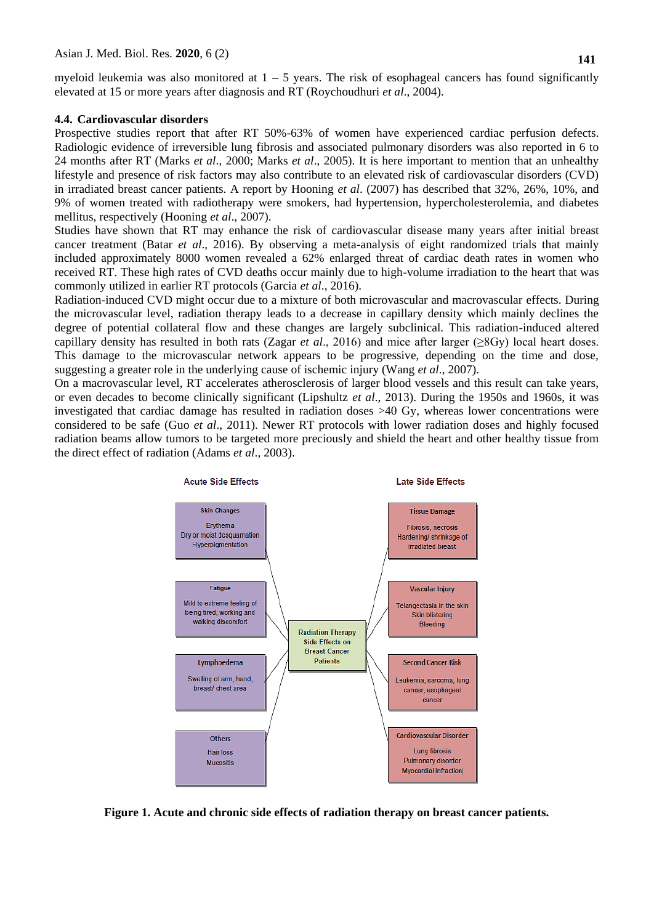myeloid leukemia was also monitored at  $1 - 5$  years. The risk of esophageal cancers has found significantly elevated at 15 or more years after diagnosis and RT (Roychoudhuri *et al*., 2004).

#### **4.4. Cardiovascular disorders**

Prospective studies report that after RT 50%-63% of women have experienced cardiac perfusion defects. Radiologic evidence of irreversible lung fibrosis and associated pulmonary disorders was also reported in 6 to 24 months after RT (Marks *et al*., 2000; Marks *et al*., 2005). It is here important to mention that an unhealthy lifestyle and presence of risk factors may also contribute to an elevated risk of cardiovascular disorders (CVD) in irradiated breast cancer patients. A report by Hooning *et al*. (2007) has described that 32%, 26%, 10%, and 9% of women treated with radiotherapy were smokers, had hypertension, hypercholesterolemia, and diabetes mellitus, respectively (Hooning *et al*., 2007).

Studies have shown that RT may enhance the risk of cardiovascular disease many years after initial breast cancer treatment (Batar *et al*., 2016). By observing a meta-analysis of eight randomized trials that mainly included approximately 8000 women revealed a 62% enlarged threat of cardiac death rates in women who received RT. These high rates of CVD deaths occur mainly due to high-volume irradiation to the heart that was commonly utilized in earlier RT protocols (Garcia *et al*., 2016).

Radiation-induced CVD might occur due to a mixture of both microvascular and macrovascular effects. During the microvascular level, radiation therapy leads to a decrease in capillary density which mainly declines the degree of potential collateral flow and these changes are largely subclinical. This radiation-induced altered capillary density has resulted in both rats (Zagar *et al*., 2016) and mice after larger (≥8Gy) local heart doses. This damage to the microvascular network appears to be progressive, depending on the time and dose, suggesting a greater role in the underlying cause of ischemic injury (Wang *et al*., 2007).

On a macrovascular level, RT accelerates atherosclerosis of larger blood vessels and this result can take years, or even decades to become clinically significant (Lipshultz *et al*., 2013). During the 1950s and 1960s, it was investigated that cardiac damage has resulted in radiation doses >40 Gy, whereas lower concentrations were considered to be safe (Guo *et al*., 2011). Newer RT protocols with lower radiation doses and highly focused radiation beams allow tumors to be targeted more preciously and shield the heart and other healthy tissue from the direct effect of radiation (Adams *et al*., 2003).



**Figure 1. Acute and chronic side effects of radiation therapy on breast cancer patients.**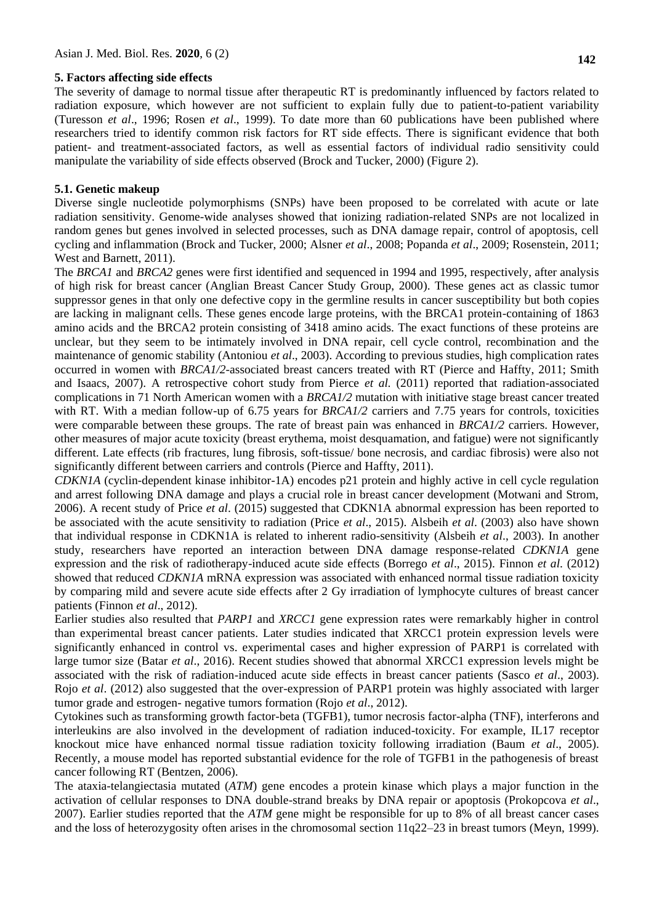### **5. Factors affecting side effects**

The severity of damage to normal tissue after therapeutic RT is predominantly influenced by factors related to radiation exposure, which however are not sufficient to explain fully due to patient-to-patient variability (Turesson *et al*., 1996; Rosen *et al*., 1999). To date more than 60 publications have been published where researchers tried to identify common risk factors for RT side effects. There is significant evidence that both patient- and treatment-associated factors, as well as essential factors of individual radio sensitivity could manipulate the variability of side effects observed (Brock and Tucker, 2000) (Figure 2).

## **5.1. Genetic makeup**

Diverse single nucleotide polymorphisms (SNPs) have been proposed to be correlated with acute or late radiation sensitivity. Genome-wide analyses showed that ionizing radiation-related SNPs are not localized in random genes but genes involved in selected processes, such as DNA damage repair, control of apoptosis, cell cycling and inflammation (Brock and Tucker, 2000; Alsner *et al*., 2008; Popanda *et al*., 2009; Rosenstein, 2011; West and Barnett, 2011).

The *BRCA1* and *BRCA2* genes were first identified and sequenced in 1994 and 1995, respectively, after analysis of high risk for breast cancer (Anglian Breast Cancer Study Group, 2000). These genes act as classic tumor suppressor genes in that only one defective copy in the germline results in cancer susceptibility but both copies are lacking in malignant cells. These genes encode large proteins, with the BRCA1 protein-containing of 1863 amino acids and the BRCA2 protein consisting of 3418 amino acids. The exact functions of these proteins are unclear, but they seem to be intimately involved in DNA repair, cell cycle control, recombination and the maintenance of genomic stability (Antoniou *et al*., 2003). According to previous studies, high complication rates occurred in women with *BRCA1/2*-associated breast cancers treated with RT (Pierce and Haffty, 2011; Smith and Isaacs, 2007). A retrospective cohort study from Pierce *et al.* (2011) reported that radiation-associated complications in 71 North American women with a *BRCA1/2* mutation with initiative stage breast cancer treated with RT. With a median follow-up of 6.75 years for *BRCA1/2* carriers and 7.75 years for controls, toxicities were comparable between these groups. The rate of breast pain was enhanced in *BRCA1/2* carriers. However, other measures of major acute toxicity (breast erythema, moist desquamation, and fatigue) were not significantly different. Late effects (rib fractures, lung fibrosis, soft-tissue/ bone necrosis, and cardiac fibrosis) were also not significantly different between carriers and controls (Pierce and Haffty, 2011).

*CDKN1A* (cyclin-dependent kinase inhibitor-1A) encodes p21 protein and highly active in cell cycle regulation and arrest following DNA damage and plays a crucial role in breast cancer development (Motwani and Strom, 2006). A recent study of Price *et al*. (2015) suggested that CDKN1A abnormal expression has been reported to be associated with the acute sensitivity to radiation (Price *et al*., 2015). Alsbeih *et al*. (2003) also have shown that individual response in CDKN1A is related to inherent radio-sensitivity (Alsbeih *et al*., 2003). In another study, researchers have reported an interaction between DNA damage response-related *CDKN1A* gene expression and the risk of radiotherapy-induced acute side effects (Borrego *et al*., 2015). Finnon *et al*. (2012) showed that reduced *CDKN1A* mRNA expression was associated with enhanced normal tissue radiation toxicity by comparing mild and severe acute side effects after 2 Gy irradiation of lymphocyte cultures of breast cancer patients (Finnon *et al*., 2012).

Earlier studies also resulted that *PARP1* and *XRCC1* gene expression rates were remarkably higher in control than experimental breast cancer patients. Later studies indicated that XRCC1 protein expression levels were significantly enhanced in control vs. experimental cases and higher expression of PARP1 is correlated with large tumor size (Batar *et al*., 2016). Recent studies showed that abnormal XRCC1 expression levels might be associated with the risk of radiation-induced acute side effects in breast cancer patients (Sasco *et al*., 2003). Rojo *et al*. (2012) also suggested that the over-expression of PARP1 protein was highly associated with larger tumor grade and estrogen- negative tumors formation (Rojo *et al*., 2012).

Cytokines such as transforming growth factor-beta (TGFB1), tumor necrosis factor-alpha (TNF), interferons and interleukins are also involved in the development of radiation induced-toxicity. For example, IL17 receptor knockout mice have enhanced normal tissue radiation toxicity following irradiation (Baum *et al*., 2005). Recently, a mouse model has reported substantial evidence for the role of TGFB1 in the pathogenesis of breast cancer following RT (Bentzen, 2006).

The ataxia-telangiectasia mutated (*ATM*) gene encodes a protein kinase which plays a major function in the activation of cellular responses to DNA double-strand breaks by DNA repair or apoptosis (Prokopcova *et al*., 2007). Earlier studies reported that the *ATM* gene might be responsible for up to 8% of all breast cancer cases and the loss of heterozygosity often arises in the chromosomal section 11q22–23 in breast tumors (Meyn, 1999).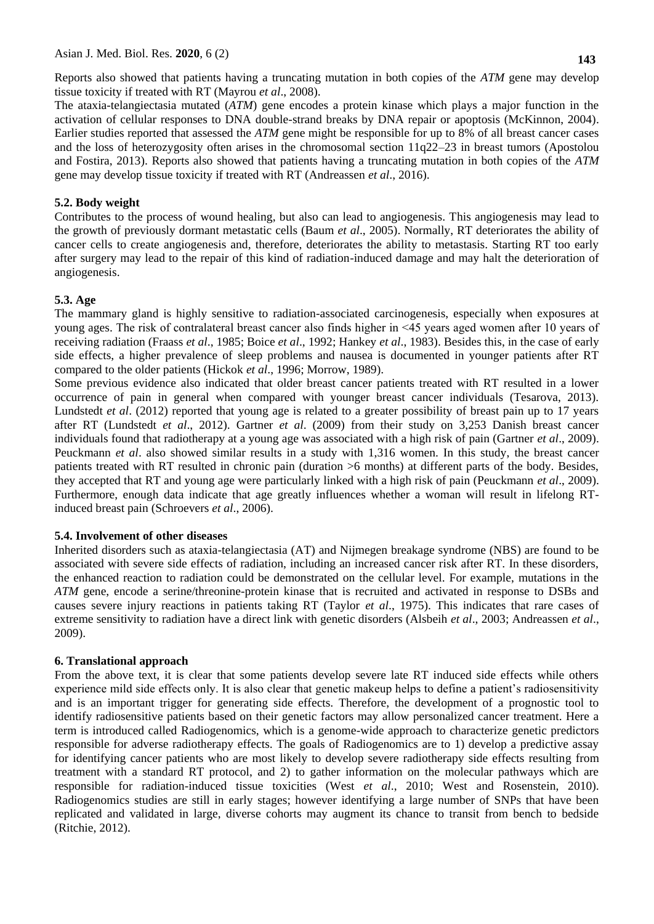Reports also showed that patients having a truncating mutation in both copies of the *ATM* gene may develop tissue toxicity if treated with RT (Mayrou *et al*., 2008).

The ataxia-telangiectasia mutated (*ATM*) gene encodes a protein kinase which plays a major function in the activation of cellular responses to DNA double-strand breaks by DNA repair or apoptosis (McKinnon, 2004). Earlier studies reported that assessed the *ATM* gene might be responsible for up to 8% of all breast cancer cases and the loss of heterozygosity often arises in the chromosomal section 11q22–23 in breast tumors (Apostolou and Fostira, 2013). Reports also showed that patients having a truncating mutation in both copies of the *ATM* gene may develop tissue toxicity if treated with RT (Andreassen *et al*., 2016).

# **5.2. Body weight**

Contributes to the process of wound healing, but also can lead to angiogenesis. This angiogenesis may lead to the growth of previously dormant metastatic cells (Baum *et al*., 2005). Normally, RT deteriorates the ability of cancer cells to create angiogenesis and, therefore, deteriorates the ability to metastasis. Starting RT too early after surgery may lead to the repair of this kind of radiation-induced damage and may halt the deterioration of angiogenesis.

## **5.3. Age**

The mammary gland is highly sensitive to radiation-associated carcinogenesis, especially when exposures at young ages. The risk of contralateral breast cancer also finds higher in ˂45 years aged women after 10 years of receiving radiation (Fraass *et al*., 1985; Boice *et al*., 1992; Hankey *et al*., 1983). Besides this, in the case of early side effects, a higher prevalence of sleep problems and nausea is documented in younger patients after RT compared to the older patients (Hickok *et al*., 1996; Morrow, 1989).

Some previous evidence also indicated that older breast cancer patients treated with RT resulted in a lower occurrence of pain in general when compared with younger breast cancer individuals (Tesarova, 2013). Lundstedt *et al*. (2012) reported that young age is related to a greater possibility of breast pain up to 17 years after RT (Lundstedt *et al*., 2012). Gartner *et al*. (2009) from their study on 3,253 Danish breast cancer individuals found that radiotherapy at a young age was associated with a high risk of pain (Gartner *et al*., 2009). Peuckmann *et al*. also showed similar results in a study with 1,316 women. In this study, the breast cancer patients treated with RT resulted in chronic pain (duration >6 months) at different parts of the body. Besides, they accepted that RT and young age were particularly linked with a high risk of pain (Peuckmann *et al*., 2009). Furthermore, enough data indicate that age greatly influences whether a woman will result in lifelong RTinduced breast pain (Schroevers *et al*., 2006).

### **5.4. Involvement of other diseases**

Inherited disorders such as ataxia-telangiectasia (AT) and Nijmegen breakage syndrome (NBS) are found to be associated with severe side effects of radiation, including an increased cancer risk after RT. In these disorders, the enhanced reaction to radiation could be demonstrated on the cellular level. For example, mutations in the *ATM* gene, encode a serine/threonine-protein kinase that is recruited and activated in response to DSBs and causes severe injury reactions in patients taking RT (Taylor *et al*., 1975). This indicates that rare cases of extreme sensitivity to radiation have a direct link with genetic disorders (Alsbeih *et al*., 2003; Andreassen *et al*., 2009).

### **6. Translational approach**

From the above text, it is clear that some patients develop severe late RT induced side effects while others experience mild side effects only. It is also clear that genetic makeup helps to define a patient's radiosensitivity and is an important trigger for generating side effects. Therefore, the development of a prognostic tool to identify radiosensitive patients based on their genetic factors may allow personalized cancer treatment. Here a term is introduced called Radiogenomics, which is a genome-wide approach to characterize genetic predictors responsible for adverse radiotherapy effects. The goals of Radiogenomics are to 1) develop a predictive assay for identifying cancer patients who are most likely to develop severe radiotherapy side effects resulting from treatment with a standard RT protocol, and 2) to gather information on the molecular pathways which are responsible for radiation-induced tissue toxicities (West *et al*., 2010; West and Rosenstein, 2010). Radiogenomics studies are still in early stages; however identifying a large number of SNPs that have been replicated and validated in large, diverse cohorts may augment its chance to transit from bench to bedside (Ritchie, 2012).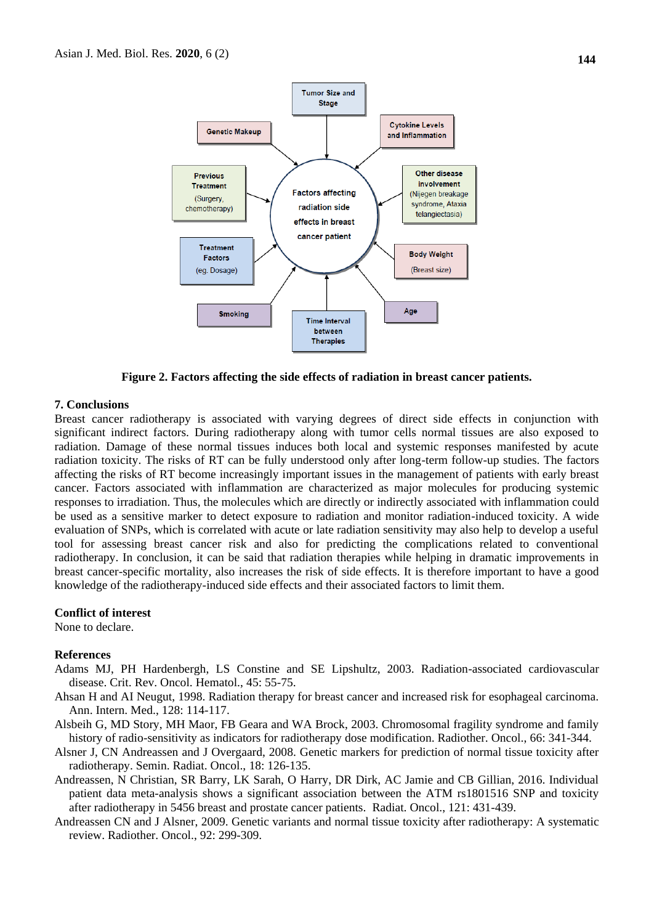

**Figure 2. Factors affecting the side effects of radiation in breast cancer patients.**

### **7. Conclusions**

Breast cancer radiotherapy is associated with varying degrees of direct side effects in conjunction with significant indirect factors. During radiotherapy along with tumor cells normal tissues are also exposed to radiation. Damage of these normal tissues induces both local and systemic responses manifested by acute radiation toxicity. The risks of RT can be fully understood only after long-term follow-up studies. The factors affecting the risks of RT become increasingly important issues in the management of patients with early breast cancer. Factors associated with inflammation are characterized as major molecules for producing systemic responses to irradiation. Thus, the molecules which are directly or indirectly associated with inflammation could be used as a sensitive marker to detect exposure to radiation and monitor radiation-induced toxicity. A wide evaluation of SNPs, which is correlated with acute or late radiation sensitivity may also help to develop a useful tool for assessing breast cancer risk and also for predicting the complications related to conventional radiotherapy. In conclusion, it can be said that radiation therapies while helping in dramatic improvements in breast cancer-specific mortality, also increases the risk of side effects. It is therefore important to have a good knowledge of the radiotherapy-induced side effects and their associated factors to limit them.

#### **Conflict of interest**

None to declare.

#### **References**

- Adams MJ, PH Hardenbergh, LS Constine and SE Lipshultz, 2003. Radiation-associated cardiovascular disease. Crit. Rev. Oncol. Hematol., 45: 55-75.
- Ahsan H and AI Neugut, 1998. Radiation therapy for breast cancer and increased risk for esophageal carcinoma. Ann. Intern. Med., 128: 114-117.
- Alsbeih G, MD Story, MH Maor, FB Geara and WA Brock, 2003. Chromosomal fragility syndrome and family history of radio-sensitivity as indicators for radiotherapy dose modification. Radiother. Oncol., 66: 341-344.
- Alsner J, CN Andreassen and J Overgaard, 2008. Genetic markers for prediction of normal tissue toxicity after radiotherapy. Semin. Radiat. Oncol., 18: 126-135.
- Andreassen, N Christian, SR Barry, LK Sarah, O Harry, DR Dirk, AC Jamie and CB Gillian, 2016. Individual patient data meta-analysis shows a significant association between the ATM rs1801516 SNP and toxicity after radiotherapy in 5456 breast and prostate cancer patients. Radiat. Oncol., 121: 431-439.
- Andreassen CN and J Alsner, 2009. Genetic variants and normal tissue toxicity after radiotherapy: A systematic review. Radiother. Oncol., 92: 299-309.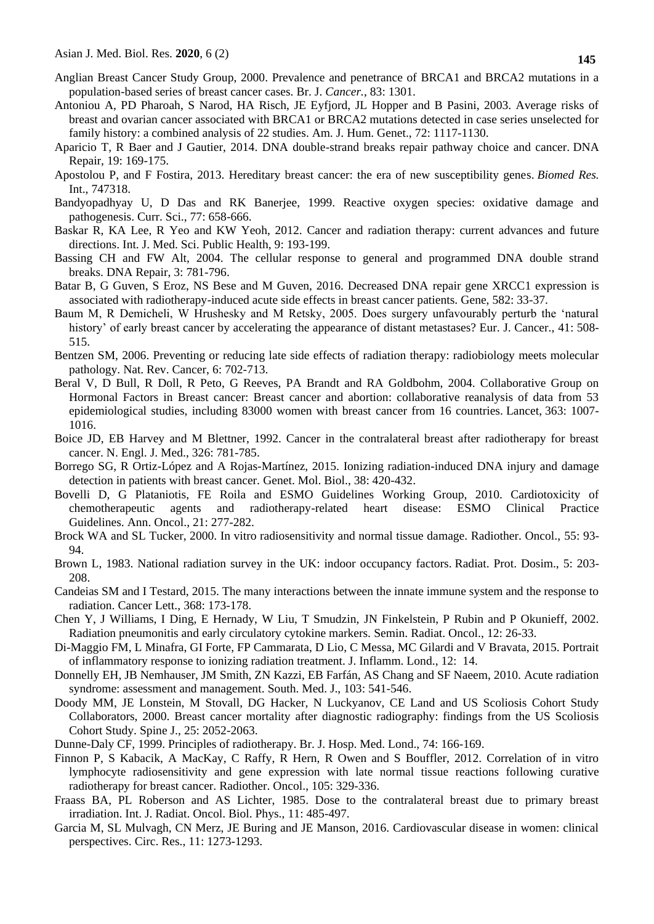- Anglian Breast Cancer Study Group, 2000. Prevalence and penetrance of BRCA1 and BRCA2 mutations in a population-based series of breast cancer cases. Br. J. *Cancer.*, 83: 1301.
- Antoniou A, PD Pharoah, S Narod, HA Risch, JE Eyfjord, JL Hopper and B Pasini, 2003. Average risks of breast and ovarian cancer associated with BRCA1 or BRCA2 mutations detected in case series unselected for family history: a combined analysis of 22 studies. Am. J. Hum. Genet., 72: 1117-1130.
- Aparicio T, R Baer and J Gautier, 2014. DNA double-strand breaks repair pathway choice and cancer. DNA Repair, 19: 169-175.
- Apostolou P, and F Fostira, 2013. Hereditary breast cancer: the era of new susceptibility genes. *Biomed Res.* Int., 747318.
- Bandyopadhyay U, D Das and RK Banerjee, 1999. Reactive oxygen species: oxidative damage and pathogenesis. Curr. Sci., 77: 658-666.
- Baskar R, KA Lee, R Yeo and KW Yeoh, 2012. Cancer and radiation therapy: current advances and future directions. Int. J. Med. Sci. Public Health, 9: 193-199.
- Bassing CH and FW Alt, 2004. The cellular response to general and programmed DNA double strand breaks. DNA Repair, 3: 781-796.
- Batar B, G Guven, S Eroz, NS Bese and M Guven, 2016. Decreased DNA repair gene XRCC1 expression is associated with radiotherapy-induced acute side effects in breast cancer patients. Gene, 582: 33-37.
- Baum M, R Demicheli, W Hrushesky and M Retsky, 2005. Does surgery unfavourably perturb the 'natural history' of early breast cancer by accelerating the appearance of distant metastases? Eur. J. Cancer., 41: 508- 515.
- Bentzen SM, 2006. Preventing or reducing late side effects of radiation therapy: radiobiology meets molecular pathology. Nat. Rev. Cancer, 6: 702-713.
- Beral V, D Bull, R Doll, R Peto, G Reeves, PA Brandt and RA Goldbohm, 2004. Collaborative Group on Hormonal Factors in Breast cancer: Breast cancer and abortion: collaborative reanalysis of data from 53 epidemiological studies, including 83000 women with breast cancer from 16 countries. Lancet, 363: 1007- 1016.
- Boice JD, EB Harvey and M Blettner, 1992. Cancer in the contralateral breast after radiotherapy for breast cancer. N. Engl. J. Med., 326: 781-785.
- Borrego SG, R Ortiz-López and A Rojas-Martínez, 2015. Ionizing radiation-induced DNA injury and damage detection in patients with breast cancer. Genet. Mol. Biol., 38: 420-432.
- Bovelli D, G Plataniotis, FE Roila and ESMO Guidelines Working Group, 2010. Cardiotoxicity of chemotherapeutic agents and radiotherapy-related heart disease: ESMO Clinical Practice Guidelines. Ann. Oncol., 21: 277-282.
- Brock WA and SL Tucker, 2000. In vitro radiosensitivity and normal tissue damage. Radiother. Oncol., 55: 93- 94.
- Brown L, 1983. National radiation survey in the UK: indoor occupancy factors. Radiat. Prot. Dosim., 5: 203- 208.
- Candeias SM and I Testard, 2015. The many interactions between the innate immune system and the response to radiation. Cancer Lett., 368: 173-178.
- Chen Y, J Williams, I Ding, E Hernady, W Liu, T Smudzin, JN Finkelstein, P Rubin and P Okunieff, 2002. Radiation pneumonitis and early circulatory cytokine markers. Semin. Radiat. Oncol., 12: 26-33.
- Di-Maggio FM, L Minafra, GI Forte, FP Cammarata, D Lio, C Messa, MC Gilardi and V Bravata, 2015. Portrait of inflammatory response to ionizing radiation treatment. J. Inflamm. Lond., 12: 14.
- Donnelly EH, JB Nemhauser, JM Smith, ZN Kazzi, EB Farfán, AS Chang and SF Naeem, 2010. Acute radiation syndrome: assessment and management. South. Med. J., 103: 541-546.
- Doody MM, JE Lonstein, M Stovall, DG Hacker, N Luckyanov, CE Land and US Scoliosis Cohort Study Collaborators, 2000. Breast cancer mortality after diagnostic radiography: findings from the US Scoliosis Cohort Study. Spine J., 25: 2052-2063.
- Dunne-Daly CF, 1999. Principles of radiotherapy. Br. J. Hosp. Med. Lond., 74: 166-169.
- Finnon P, S Kabacik, A MacKay, C Raffy, R Hern, R Owen and S Bouffler, 2012. Correlation of in vitro lymphocyte radiosensitivity and gene expression with late normal tissue reactions following curative radiotherapy for breast cancer. Radiother. Oncol., 105: 329-336.
- Fraass BA, PL Roberson and AS Lichter, 1985. Dose to the contralateral breast due to primary breast irradiation. Int. J. Radiat. Oncol. Biol. Phys., 11: 485-497.
- Garcia M, SL Mulvagh, CN Merz, JE Buring and JE Manson, 2016. Cardiovascular disease in women: clinical perspectives. Circ. Res., 11: 1273-1293.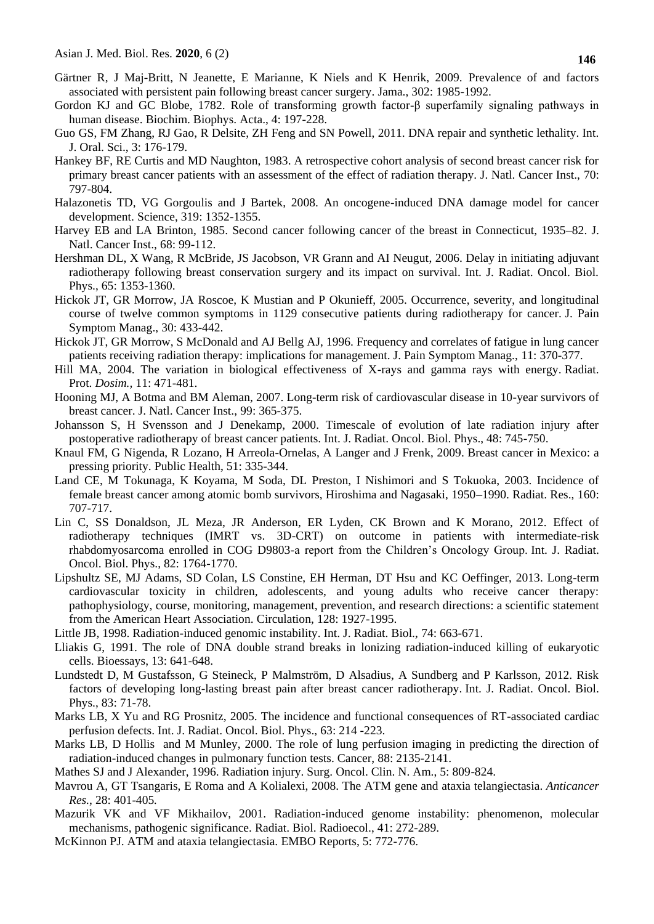- Gärtner R, J Maj-Britt, N Jeanette, E Marianne, K Niels and K Henrik, 2009. Prevalence of and factors associated with persistent pain following breast cancer surgery. Jama., 302: 1985-1992.
- Gordon KJ and GC Blobe, 1782. Role of transforming growth factor-β superfamily signaling pathways in human disease. Biochim. Biophys. Acta., 4: 197-228.
- Guo GS, FM Zhang, RJ Gao, R Delsite, ZH Feng and SN Powell, 2011. DNA repair and synthetic lethality. Int. J. Oral. Sci., 3: 176-179.
- Hankey BF, RE Curtis and MD Naughton, 1983. A retrospective cohort analysis of second breast cancer risk for primary breast cancer patients with an assessment of the effect of radiation therapy. J. Natl. Cancer Inst., 70: 797-804.
- Halazonetis TD, VG Gorgoulis and J Bartek, 2008. An oncogene-induced DNA damage model for cancer development. Science, 319: 1352-1355.
- Harvey EB and LA Brinton, 1985. Second cancer following cancer of the breast in Connecticut, 1935–82. J. Natl. Cancer Inst., 68: 99-112.
- Hershman DL, X Wang, R McBride, JS Jacobson, VR Grann and AI Neugut, 2006. Delay in initiating adjuvant radiotherapy following breast conservation surgery and its impact on survival. Int. J. Radiat. Oncol. Biol. Phys., 65: 1353-1360.
- Hickok JT, GR Morrow, JA Roscoe, K Mustian and P Okunieff, 2005. Occurrence, severity, and longitudinal course of twelve common symptoms in 1129 consecutive patients during radiotherapy for cancer. J. Pain Symptom Manag., 30: 433-442.
- Hickok JT, GR Morrow, S McDonald and AJ Bellg AJ, 1996. Frequency and correlates of fatigue in lung cancer patients receiving radiation therapy: implications for management. J. Pain Symptom Manag., 11: 370-377.
- Hill MA, 2004. The variation in biological effectiveness of X-rays and gamma rays with energy. Radiat. Prot. *Dosim.,* 11: 471-481.
- Hooning MJ, A Botma and BM Aleman, 2007. Long-term risk of cardiovascular disease in 10-year survivors of breast cancer. J. Natl. Cancer Inst., 99: 365-375.
- Johansson S, H Svensson and J Denekamp, 2000. Timescale of evolution of late radiation injury after postoperative radiotherapy of breast cancer patients. Int. J. Radiat. Oncol. Biol. Phys., 48: 745-750.
- Knaul FM, G Nigenda, R Lozano, H Arreola-Ornelas, A Langer and J Frenk, 2009. Breast cancer in Mexico: a pressing priority. Public Health, 51: 335-344.
- Land CE, M Tokunaga, K Koyama, M Soda, DL Preston, I Nishimori and S Tokuoka, 2003. Incidence of female breast cancer among atomic bomb survivors, Hiroshima and Nagasaki, 1950–1990. Radiat. Res., 160: 707-717.
- Lin C, SS Donaldson, JL Meza, JR Anderson, ER Lyden, CK Brown and K Morano, 2012. Effect of radiotherapy techniques (IMRT vs. 3D-CRT) on outcome in patients with intermediate-risk rhabdomyosarcoma enrolled in COG D9803-a report from the Children's Oncology Group. Int. J. Radiat. Oncol. Biol. Phys., 82: 1764-1770.
- Lipshultz SE, MJ Adams, SD Colan, LS Constine, EH Herman, DT Hsu and KC Oeffinger, 2013. Long-term cardiovascular toxicity in children, adolescents, and young adults who receive cancer therapy: pathophysiology, course, monitoring, management, prevention, and research directions: a scientific statement from the American Heart Association. Circulation, 128: 1927-1995.
- Little JB, 1998. Radiation-induced genomic instability. Int. J. Radiat. Biol., 74: 663-671.
- Lliakis G, 1991. The role of DNA double strand breaks in lonizing radiation-induced killing of eukaryotic cells. Bioessays, 13: 641-648.
- Lundstedt D, M Gustafsson, G Steineck, P Malmström, D Alsadius, A Sundberg and P Karlsson, 2012. Risk factors of developing long-lasting breast pain after breast cancer radiotherapy. Int. J. Radiat. Oncol. Biol. Phys., 83: 71-78.
- Marks LB, X Yu and RG Prosnitz, 2005. The incidence and functional consequences of RT-associated cardiac perfusion defects. Int. J. Radiat. Oncol. Biol. Phys., 63: 214 -223.
- Marks LB, D Hollis and M Munley, 2000. The role of lung perfusion imaging in predicting the direction of radiation-induced changes in pulmonary function tests. Cancer, 88: 2135-2141.
- Mathes SJ and J Alexander, 1996. Radiation injury. Surg. Oncol. Clin. N. Am., 5: 809-824.
- Mavrou A, GT Tsangaris, E Roma and A Kolialexi, 2008. The ATM gene and ataxia telangiectasia. *Anticancer Res.*, 28: 401-405*.*
- Mazurik VK and VF Mikhailov, 2001. Radiation-induced genome instability: phenomenon, molecular mechanisms, pathogenic significance. [Radiat. Biol. Radioecol.,](https://www.ncbi.nlm.nih.gov/pubmed/11458641) 41: 272-289.
- McKinnon PJ. ATM and ataxia telangiectasia. EMBO Reports, 5: 772-776.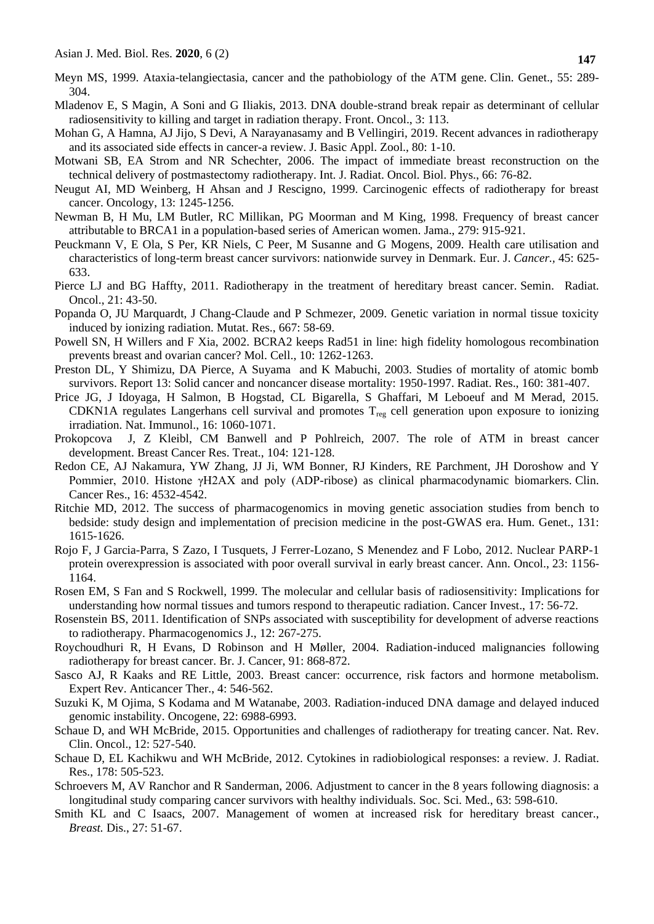Meyn MS, 1999. Ataxia-telangiectasia, cancer and the pathobiology of the ATM gene. Clin. Genet., 55: 289- 304.

- Mladenov E, S Magin, A Soni and G Iliakis, 2013. DNA double-strand break repair as determinant of cellular radiosensitivity to killing and target in radiation therapy. Front. Oncol., 3: 113.
- Mohan G, A Hamna, AJ Jijo, S Devi, A Narayanasamy and B Vellingiri, 2019. Recent advances in radiotherapy and its associated side effects in cancer-a review. J. Basic Appl. Zool., 80: 1-10.
- Motwani SB, EA Strom and NR Schechter, 2006. The impact of immediate breast reconstruction on the technical delivery of postmastectomy radiotherapy. Int. J. Radiat. Oncol. Biol. Phys., 66: 76-82.
- Neugut AI, MD Weinberg, H Ahsan and J Rescigno, 1999. Carcinogenic effects of radiotherapy for breast cancer. Oncology, 13: 1245-1256.
- Newman B, H Mu, LM Butler, RC Millikan, PG Moorman and M King, 1998. Frequency of breast cancer attributable to BRCA1 in a population-based series of American women. Jama., 279: 915-921.
- Peuckmann V, E Ola, S Per, KR Niels, C Peer, M Susanne and G Mogens, 2009. Health care utilisation and characteristics of long-term breast cancer survivors: nationwide survey in Denmark. Eur. J. *Cancer.,* 45: 625- 633.
- Pierce LJ and BG Haffty, 2011. Radiotherapy in the treatment of hereditary breast cancer. Semin. Radiat. Oncol., 21: 43-50.
- Popanda O, JU Marquardt, J Chang-Claude and P Schmezer, 2009. Genetic variation in normal tissue toxicity induced by ionizing radiation. Mutat. Res., 667: 58-69.
- Powell SN, H Willers and F Xia, 2002. BCRA2 keeps Rad51 in line: high fidelity homologous recombination prevents breast and ovarian cancer? Mol. Cell., 10: 1262-1263.
- Preston DL, Y Shimizu, DA Pierce, A Suyama and K Mabuchi, 2003. Studies of mortality of atomic bomb survivors. Report 13: Solid cancer and noncancer disease mortality: 1950-1997. Radiat. Res., 160: 381-407.
- Price JG, J Idoyaga, H Salmon, B Hogstad, CL Bigarella, S Ghaffari, M Leboeuf and M Merad, 2015. CDKN1A regulates Langerhans cell survival and promotes  $T_{reg}$  cell generation upon exposure to ionizing irradiation. Nat. Immunol., 16: 1060-1071.
- Prokopcova J, Z Kleibl, CM Banwell and P Pohlreich, 2007. The role of ATM in breast cancer development. Breast Cancer Res. Treat., 104: 121-128.
- Redon CE, AJ Nakamura, YW Zhang, JJ Ji, WM Bonner, RJ Kinders, RE Parchment, JH Doroshow and Y Pommier, 2010. Histone γH2AX and poly (ADP-ribose) as clinical pharmacodynamic biomarkers. Clin. Cancer Res., 16: 4532-4542.
- Ritchie MD, 2012. The success of pharmacogenomics in moving genetic association studies from bench to bedside: study design and implementation of precision medicine in the post-GWAS era. Hum. Genet., 131: 1615-1626.
- Rojo F, J Garcia-Parra, S Zazo, I Tusquets, J Ferrer-Lozano, S Menendez and F Lobo, 2012. Nuclear PARP-1 protein overexpression is associated with poor overall survival in early breast cancer. Ann. Oncol., 23: 1156- 1164.
- Rosen EM, S Fan and S Rockwell, 1999. The molecular and cellular basis of radiosensitivity: Implications for understanding how normal tissues and tumors respond to therapeutic radiation. Cancer Invest., 17: 56-72.
- Rosenstein BS, 2011. Identification of SNPs associated with susceptibility for development of adverse reactions to radiotherapy. Pharmacogenomics J., 12: 267-275.
- Roychoudhuri R, H Evans, D Robinson and H Møller, 2004. Radiation-induced malignancies following radiotherapy for breast cancer. Br. J. Cancer, 91: 868-872.
- Sasco AJ, R Kaaks and RE Little, 2003. Breast cancer: occurrence, risk factors and hormone metabolism. Expert Rev. Anticancer Ther., 4: 546-562.
- Suzuki K, M Ojima, S Kodama and M Watanabe, 2003. Radiation-induced DNA damage and delayed induced genomic instability. Oncogene, 22: 6988-6993.
- Schaue D, and WH McBride, 2015. Opportunities and challenges of radiotherapy for treating cancer. Nat. Rev. Clin. Oncol., 12: 527-540.
- Schaue D, EL Kachikwu and WH McBride, 2012. Cytokines in radiobiological responses: a review. J. Radiat. Res., 178: 505-523.
- Schroevers M, AV Ranchor and R Sanderman, 2006. Adjustment to cancer in the 8 years following diagnosis: a longitudinal study comparing cancer survivors with healthy individuals. Soc. Sci. Med., 63: 598-610.
- Smith KL and C Isaacs, 2007. Management of women at increased risk for hereditary breast cancer., *Breast.* Dis., 27: 51-67.